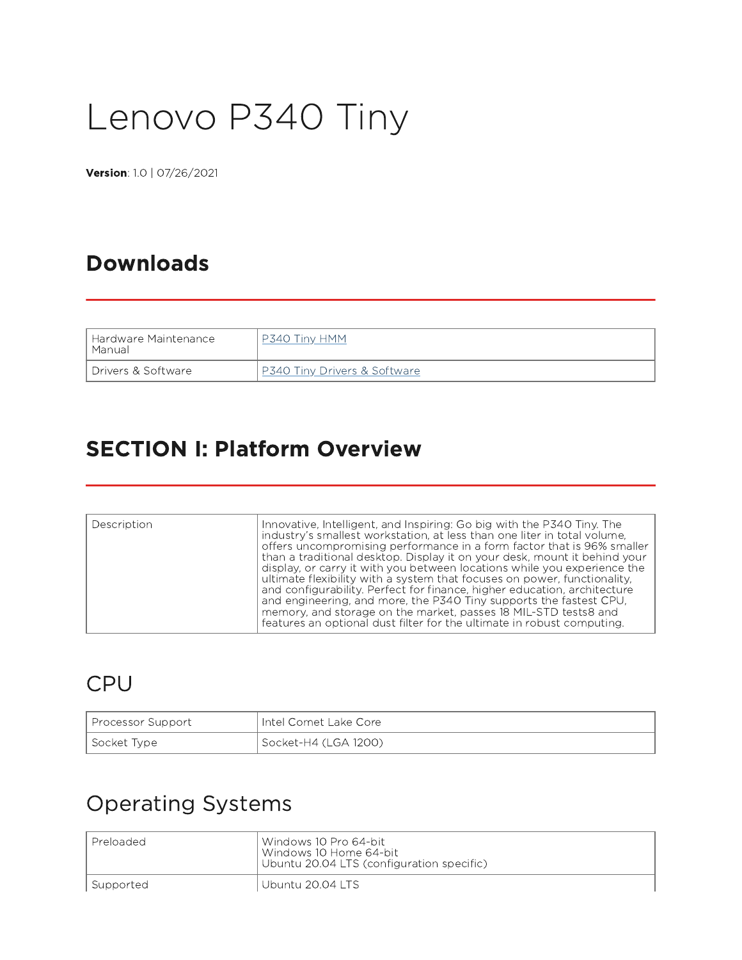# Lenovo P340 Tiny

Version: 1.0 | 07/26/2021

#### Downloads

| l Hardware Maintenance I | 'inv HMM                        |
|--------------------------|---------------------------------|
| Manual                   | ⊃3⊿(                            |
| l Drivers & Software.    | Tiny Drivers & Software<br>D340 |

#### SECTION I: Platform Overview

| Description | Innovative, Intelligent, and Inspiring: Go big with the P340 Tiny. The<br>industry's smallest workstation, at less than one liter in total volume,<br>offers uncompromising performance in a form factor that is 96% smaller<br>than a traditional desktop. Display it on your desk, mount it behind your<br>display, or carry it with you between locations while you experience the<br>ultimate flexibility with a system that focuses on power, functionality,<br>and configurability. Perfect for finance, higher education, architecture<br>and engineering, and more, the P340 Tiny supports the fastest CPU, |
|-------------|---------------------------------------------------------------------------------------------------------------------------------------------------------------------------------------------------------------------------------------------------------------------------------------------------------------------------------------------------------------------------------------------------------------------------------------------------------------------------------------------------------------------------------------------------------------------------------------------------------------------|
|             | memory, and storage on the market, passes 18 MIL-STD tests8 and<br>features an optional dust filter for the ultimate in robust computing.                                                                                                                                                                                                                                                                                                                                                                                                                                                                           |

#### CPU

| Processor Support | Untel Comet Lake Core |
|-------------------|-----------------------|
| Socket Type       | Socket-H4 (LGA 1200)  |

#### Operating Systems

| l Preloaded | l Windows 10 Pro 64-bit l<br>Windows 10 Home 64-bit<br>Ubuntu 20.04 LTS (configuration specific) |
|-------------|--------------------------------------------------------------------------------------------------|
| Supported   | Ubuntu 20.04 LTS                                                                                 |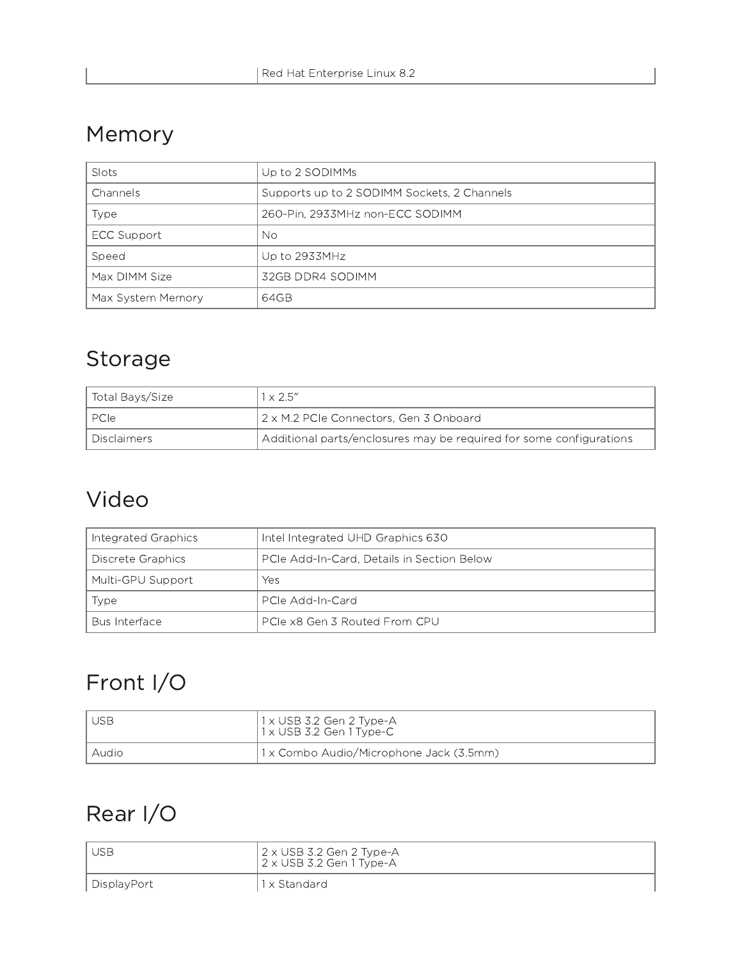## Memory

| Slots             | Up to 2 SODIMMs                             |
|-------------------|---------------------------------------------|
| Channels          | Supports up to 2 SODIMM Sockets, 2 Channels |
| Type              | 260-Pin, 2933MHz non-ECC SODIMM             |
| ECC Support       | No                                          |
| Speed             | Up to 2933MHz                               |
| Max DIMM Size     | 32GB DDR4 SODIMM                            |
| Max System Memory | 64GB                                        |

# Storage

| Total Bays/Size      | $1 \times 2.5''$                                                    |
|----------------------|---------------------------------------------------------------------|
| I PCIe               | 2 x M.2 PCIe Connectors, Gen 3 Onboard                              |
| <b>I</b> Disclaimers | Additional parts/enclosures may be required for some configurations |

## Video

| Integrated Graphics | Intel Integrated UHD Graphics 630          |
|---------------------|--------------------------------------------|
| Discrete Graphics   | PCIe Add-In-Card, Details in Section Below |
| Multi-GPU Support   | Yes                                        |
| Type                | - PCIe Add-In-Card                         |
| Bus Interface       | PCIe x8 Gen 3 Routed From CPU              |

# Front I/O

| l USB | 1 x USB 3.2 Gen 2 Type-A<br>1 x USB 3.2 Gen 1 Type-C |
|-------|------------------------------------------------------|
| Audio | 1 x Combo Audio/Microphone Jack (3.5mm)              |

# Rear I/O

| <b>USB</b>  | 2 x USB 3.2 Gen 2 Type-A<br>$2 \times$ USB 3.2 Gen 1 Type-A |
|-------------|-------------------------------------------------------------|
| DisplayPort | 1 x Standard                                                |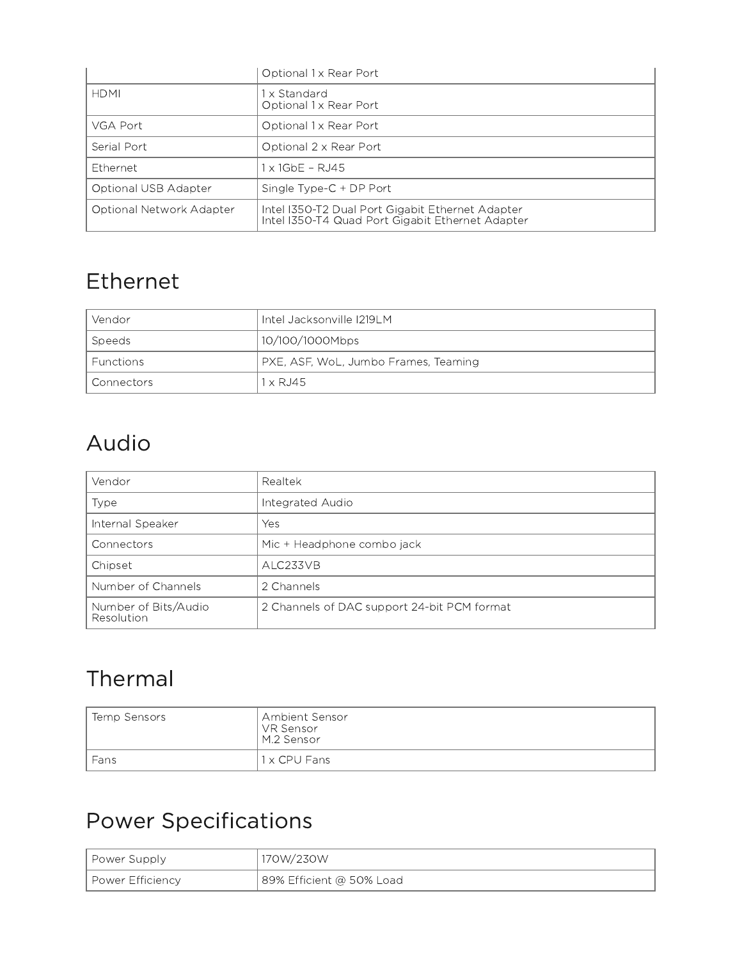|                          | Optional 1 x Rear Port                                                                               |
|--------------------------|------------------------------------------------------------------------------------------------------|
| <b>HDMI</b>              | 1 x Standard<br>Optional 1 x Rear Port                                                               |
| VGA Port                 | Optional 1 x Rear Port                                                                               |
| Serial Port              | Optional 2 x Rear Port                                                                               |
| <b>Ethernet</b>          | x 1GbF - RJ45                                                                                        |
| Optional USB Adapter     | Single Type-C + DP Port                                                                              |
| Optional Network Adapter | Intel I350-T2 Dual Port Gigabit Ethernet Adapter<br>Intel I350-T4 Quad Port Gigabit Ethernet Adapter |

#### Ethernet

| Vendor       | Intel Jacksonville I219LM            |
|--------------|--------------------------------------|
| ' Speeds     | 10/100/1000Mbps                      |
| l Functions  | PXE, ASF, WoL, Jumbo Frames, Teaming |
| l Connectors | $1 \times R$ . 145                   |

## Audio

| Vendor                             | Realtek                                     |
|------------------------------------|---------------------------------------------|
| Type                               | Integrated Audio                            |
| Internal Speaker                   | Yes                                         |
| Connectors                         | Mic + Headphone combo jack                  |
| Chipset                            | ALC233VB                                    |
| Number of Channels                 | 2 Channels                                  |
| Number of Bits/Audio<br>Resolution | 2 Channels of DAC support 24-bit PCM format |

# Thermal

| Temp Sensors | Ambient Sensor<br>VR Sensor<br>M.2 Sensor |
|--------------|-------------------------------------------|
| Fans         | 1 x CPU Fans                              |

# Power Specifications

| <b>Power Supply</b> | 170W/230W                |
|---------------------|--------------------------|
| Power Efficiency    | 89% Efficient @ 50% Load |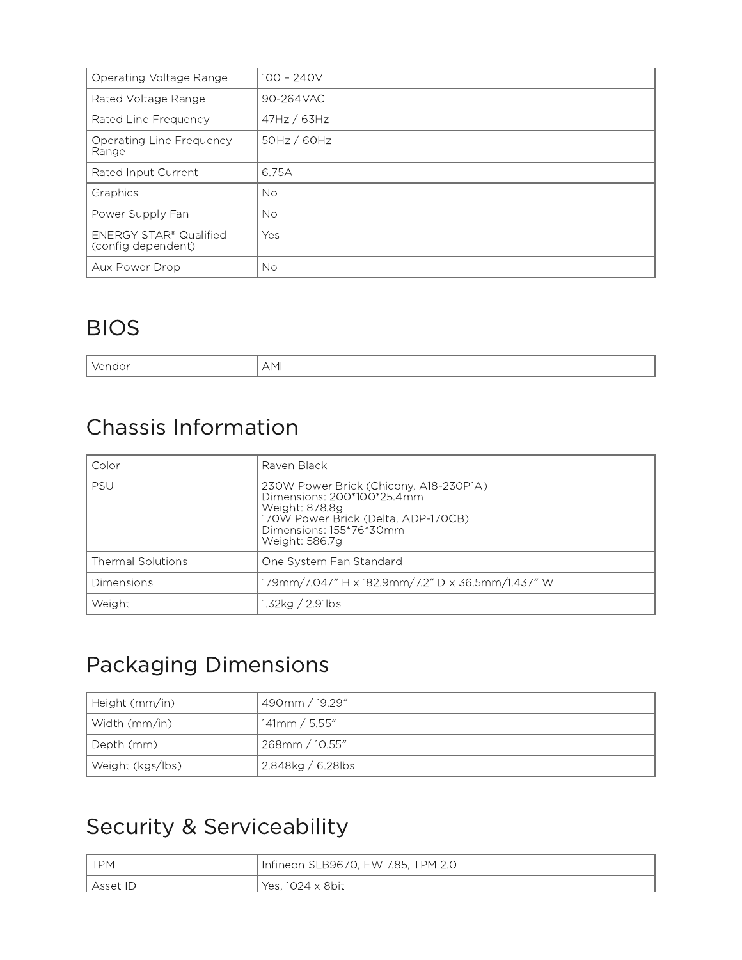| Operating Voltage Range                             | $100 - 240V$ |
|-----------------------------------------------------|--------------|
| Rated Voltage Range                                 | 90-264VAC    |
| Rated Line Frequency                                | 47Hz / 63Hz  |
| <b>Operating Line Frequency</b><br>Range            | 50Hz / 60Hz  |
| Rated Input Current                                 | 6.75A        |
| Graphics                                            | No.          |
| Power Supply Fan                                    | No.          |
| <b>ENERGY STAR® Qualified</b><br>(config dependent) | Yes          |
| Aux Power Drop                                      | No.          |

#### BIOS

Vendor AMI

# Chassis Information

| Color                    | Raven Black                                                                                                                                                                |
|--------------------------|----------------------------------------------------------------------------------------------------------------------------------------------------------------------------|
| <b>PSU</b>               | 230W Power Brick (Chicony, A18-230P1A)<br>Dimensions: 200*100*25.4mm<br>Weight: 878.8g<br>170W Power Brick (Delta, ADP-170CB)<br>Dimensions: 155*76*30mm<br>Weight: 586.7g |
| <b>Thermal Solutions</b> | One System Fan Standard                                                                                                                                                    |
| Dimensions               | 179mm/7.047" H x 182.9mm/7.2" D x 36.5mm/1.437" W                                                                                                                          |
| Weight                   | 1.32ka / 2.91lbs                                                                                                                                                           |

## Packaging Dimensions

| Height (mm/in)   | 490mm / 19.29"    |
|------------------|-------------------|
| Width (mm/in)    | 141mm / 5.55''    |
| Depth (mm)       | 268mm / 10.55"    |
| Weight (kgs/lbs) | 2.848kg / 6.28lbs |

# Security & Serviceability

| <b>TPM</b> | Infineon SLB9670, FW 7.85, TPM 2.0 |
|------------|------------------------------------|
| ∟Asset ID  | ' Yes, 1024 x 8bit                 |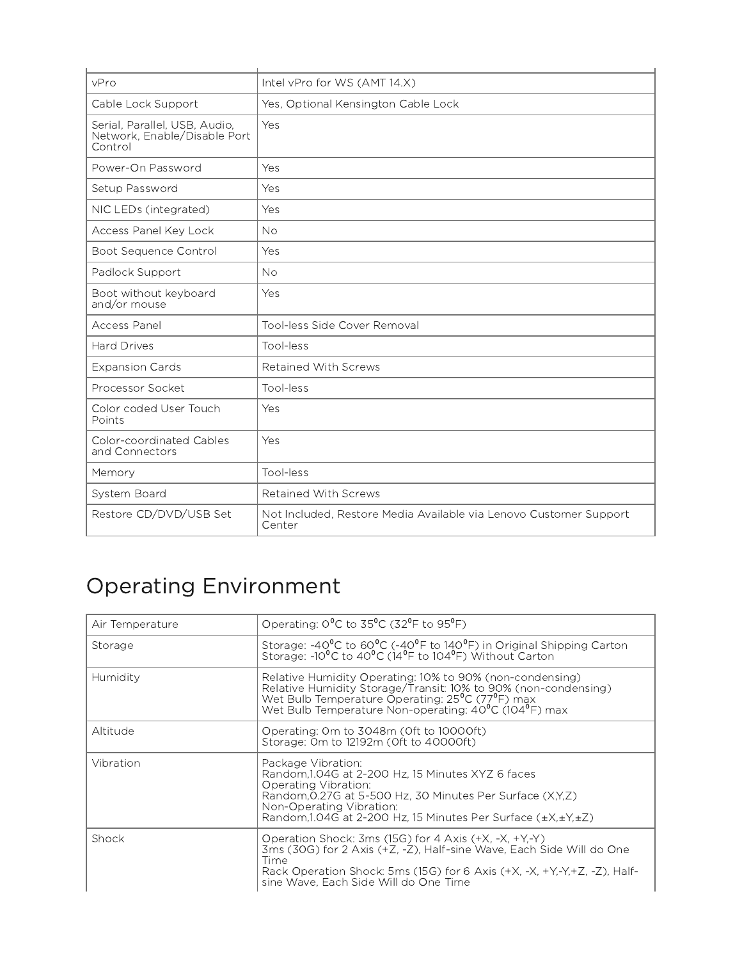| vPro                                                                     | Intel vPro for WS (AMT 14.X)                                                |
|--------------------------------------------------------------------------|-----------------------------------------------------------------------------|
| Cable Lock Support                                                       | Yes, Optional Kensington Cable Lock                                         |
| Serial, Parallel, USB, Audio,<br>Network, Enable/Disable Port<br>Control | Yes                                                                         |
| Power-On Password                                                        | Yes                                                                         |
| Setup Password                                                           | Yes                                                                         |
| NIC LEDs (integrated)                                                    | Yes                                                                         |
| Access Panel Key Lock                                                    | <b>No</b>                                                                   |
| Boot Sequence Control                                                    | Yes                                                                         |
| Padlock Support                                                          | <b>No</b>                                                                   |
| Boot without keyboard<br>and/or mouse                                    | Yes                                                                         |
| Access Panel                                                             | Tool-less Side Cover Removal                                                |
| <b>Hard Drives</b>                                                       | Tool-less                                                                   |
| <b>Expansion Cards</b>                                                   | <b>Retained With Screws</b>                                                 |
| Processor Socket                                                         | Tool-less                                                                   |
| Color coded User Touch<br>Points                                         | Yes                                                                         |
| Color-coordinated Cables<br>and Connectors                               | Yes                                                                         |
| Memory                                                                   | Tool-less                                                                   |
| System Board                                                             | <b>Retained With Screws</b>                                                 |
| Restore CD/DVD/USB Set                                                   | Not Included, Restore Media Available via Lenovo Customer Support<br>Center |

# Operating Environment

| Air Temperature | Operating: $0^{\circ}$ C to 35 <sup>o</sup> C (32 <sup>o</sup> F to 95 <sup>o</sup> F)                                                                                                                                                                                |
|-----------------|-----------------------------------------------------------------------------------------------------------------------------------------------------------------------------------------------------------------------------------------------------------------------|
| Storage         | Storage: -40 <sup>°</sup> C to 60 <sup>°</sup> C (-40 <sup>°</sup> F to 140 <sup>°</sup> F) in Original Shipping Carton Storage: -10 <sup>°</sup> C to 40 <sup>°</sup> C (14 <sup>°</sup> F to 104 <sup>°</sup> F) Without Carton                                     |
| Humidity        | Relative Humidity Operating: 10% to 90% (non-condensing)<br>Relative Humidity Storage/Transit: 10% to 90% (non-condensing)<br>Wet Bulb Temperature Operating: 25°C (77°F) max<br>Wet Bulb Temperature Non-operating: 40 <sup>°</sup> C (104 <sup>°</sup> F) max       |
| Altitude        | Operating: Om to 3048m (Oft to 10000ft)<br>Storage: 0m to 12192m (Oft to 40000ft)                                                                                                                                                                                     |
| Vibration       | Package Vibration:<br>Random, 1.04G at 2-200 Hz, 15 Minutes XYZ 6 faces<br>Operating Vibration:<br>Random, 0.27G at 5-500 Hz, 30 Minutes Per Surface (X,Y,Z)<br>Non-Operating Vibration:<br>Random, 1.04G at 2-200 Hz, 15 Minutes Per Surface $(\pm X, \pm Y, \pm Z)$ |
| Shock           | Operation Shock: 3ms (15G) for 4 Axis $(+X, -X, +Y, -Y)$<br>3ms (30G) for 2 Axis (+Z, -Z), Half-sine Wave, Each Side Will do One<br>Time<br>Rack Operation Shock: 5ms (15G) for 6 Axis (+X, -X, +Y,-Y,+Z, -Z), Half-<br>sine Wave, Each Side Will do One Time         |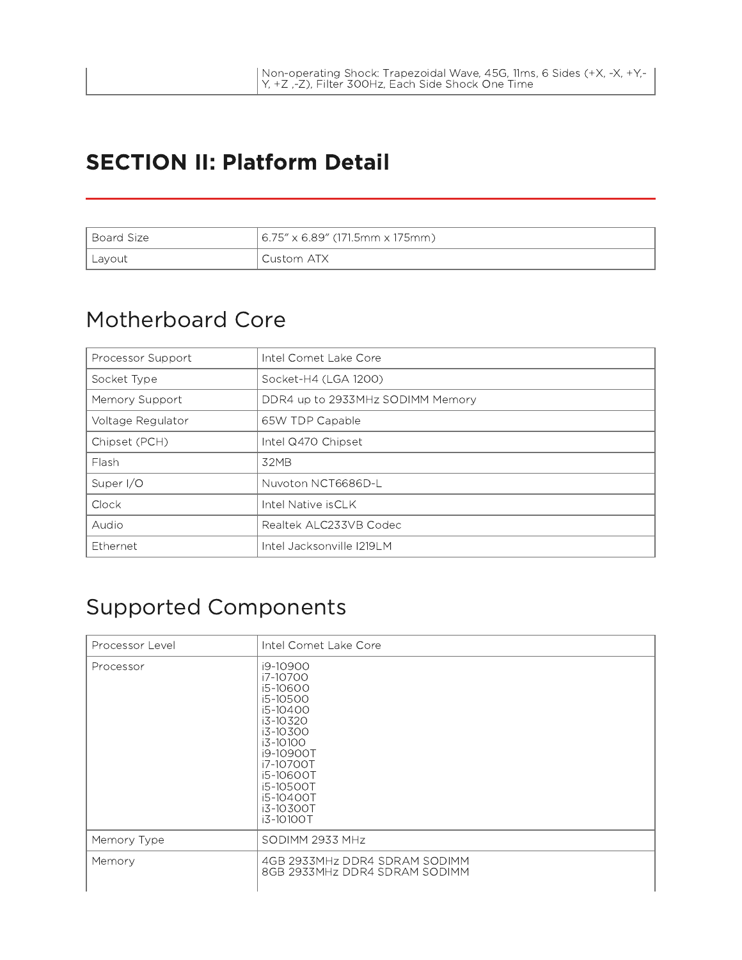#### SECTION II: Platform Detail

| l Board Size | 6.75″ x 6.89″ (171.5mm x 175mm) |
|--------------|---------------------------------|
| Layout       | Custom ATX                      |

#### Motherboard Core

| Processor Support | Intel Comet Lake Core            |
|-------------------|----------------------------------|
| Socket Type       | Socket-H4 (LGA 1200)             |
| Memory Support    | DDR4 up to 2933MHz SODIMM Memory |
| Voltage Regulator | 65W TDP Capable                  |
| Chipset (PCH)     | Intel Q470 Chipset               |
| Flash             | 32MB                             |
| Super I/O         | Nuvoton NCT6686D-L               |
| Clock             | Intel Native isCLK               |
| Audio             | Realtek ALC233VB Codec           |
| Ethernet          | Intel Jacksonville I219LM        |

#### Supported Components

| Processor Level | Intel Comet Lake Core                                                                                                                                                                   |
|-----------------|-----------------------------------------------------------------------------------------------------------------------------------------------------------------------------------------|
| Processor       | i9-10900<br>i7-10700<br>i5-10600<br>i5-10500<br>i5-10400<br>i3-10320<br>i3-10300<br>i3-10100<br>i9-10900T<br>i7-10700T<br>i5-10600T<br>i5-10500T<br>i5-10400T<br>i3-10300T<br>i3-10100T |
| Memory Type     | SODIMM 2933 MHz                                                                                                                                                                         |
| Memory          | 4GB 2933MHz DDR4 SDRAM SODIMM<br>8GB 2933MHz DDR4 SDRAM SODIMM                                                                                                                          |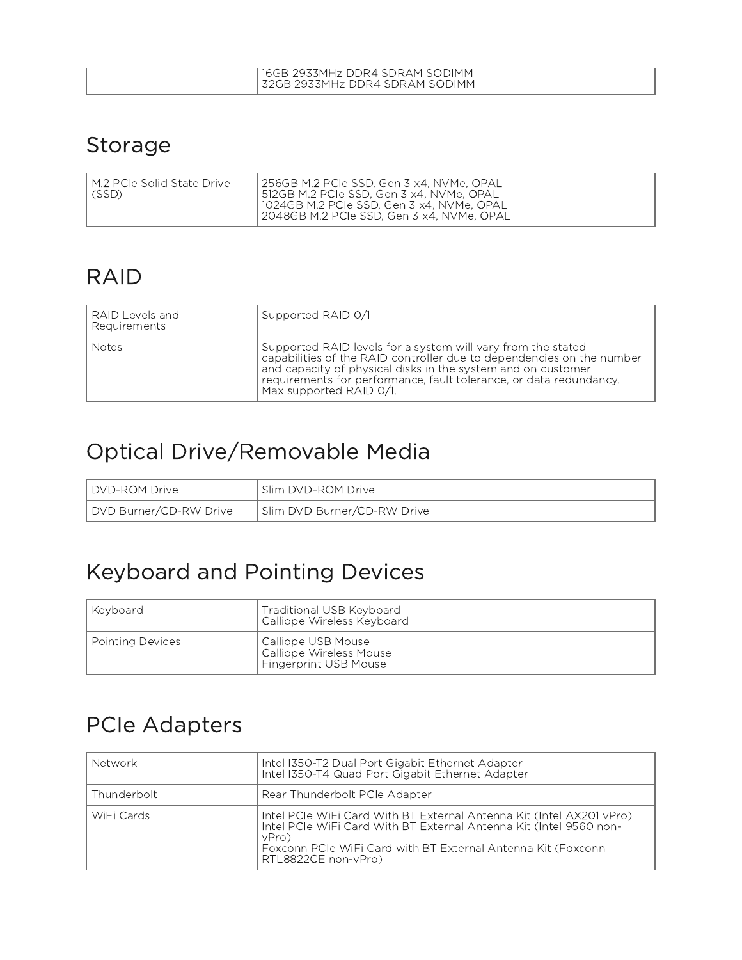#### Storage

| 1024GB M.2 PCIe SSD, Gen 3 x4, NVMe, OPAL | I M.2 PCIe Solid State Drive | 256GB M.2 PCIe SSD, Gen 3 x4, NVMe, OPAL |
|-------------------------------------------|------------------------------|------------------------------------------|
| 2048GB M.2 PCIe SSD, Gen 3 x4, NVMe, OPAL | $ $ (SSD)                    | 512GB M.2 PCIe SSD, Gen 3 x4, NVMe, OPAL |

#### RAID

| RAID Levels and<br>Requirements | Supported RAID 0/1                                                                                                                                                                                                                                                                                    |
|---------------------------------|-------------------------------------------------------------------------------------------------------------------------------------------------------------------------------------------------------------------------------------------------------------------------------------------------------|
| Notes                           | Supported RAID levels for a system will vary from the stated<br>capabilities of the RAID controller due to dependencies on the number<br>and capacity of physical disks in the system and on customer<br>requirements for performance, fault tolerance, or data redundancy.<br>Max supported RAID 0/1 |

## Optical Drive/Removable Media

| <b>I</b> DVD-ROM Drive | Slim DVD-ROM Drive          |
|------------------------|-----------------------------|
| DVD Burner/CD-RW Drive | Slim DVD Burner/CD-RW Drive |

#### Keyboard and Pointing Devices

| l Kevboard       | Traditional USB Keyboard<br>Calliope Wireless Keyboard                          |
|------------------|---------------------------------------------------------------------------------|
| Pointing Devices | Calliope USB Mouse  <br>Calliope Wireless Mouse<br><b>Fingerprint USB Mouse</b> |

#### PCIe Adapters

| Network     | Intel I350-T2 Dual Port Gigabit Ethernet Adapter<br>Intel I350-T4 Quad Port Gigabit Ethernet Adapter                                                                                                                                       |
|-------------|--------------------------------------------------------------------------------------------------------------------------------------------------------------------------------------------------------------------------------------------|
| Thunderbolt | Rear Thunderbolt PCIe Adapter                                                                                                                                                                                                              |
| WiFi Cards  | Intel PCIe WiFi Card With BT External Antenna Kit (Intel AX201 vPro)<br>Intel PCIe WiFi Card With BT External Antenna Kit (Intel 9560 non-<br>vPro)<br>Foxconn PCIe WiFi Card with BT External Antenna Kit (Foxconn<br>RTL8822CE non-vPro) |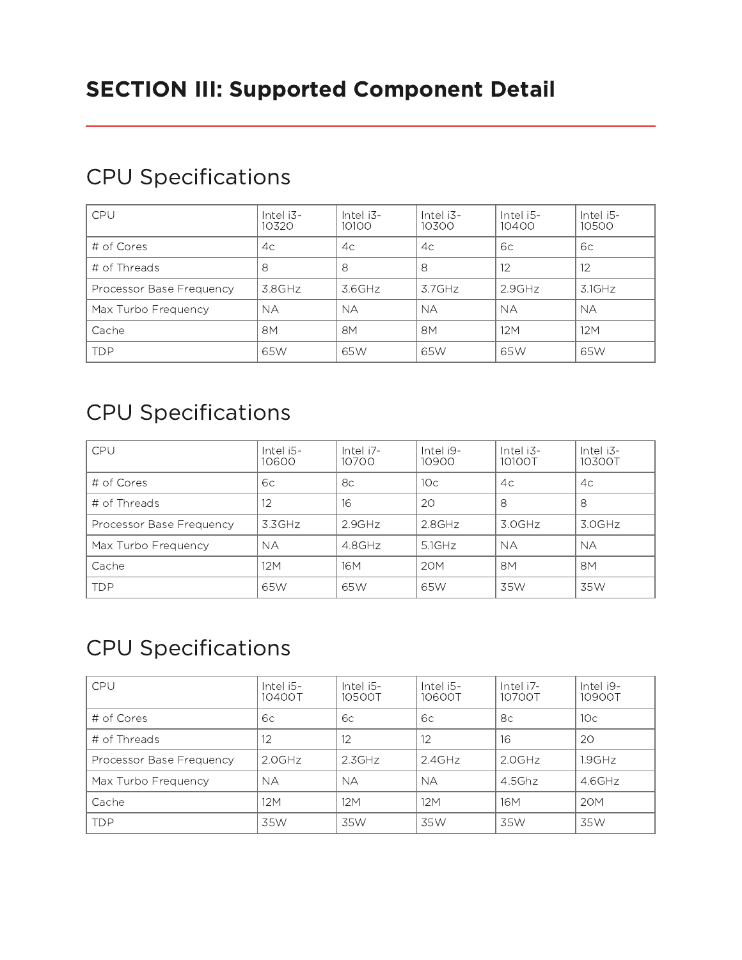| CPU                      | Intel i3-<br>10320 | Intel i3-<br>10100 | Intel i3-<br>10300 | Intel i5-<br>10400 | Intel i5-<br>10500 |
|--------------------------|--------------------|--------------------|--------------------|--------------------|--------------------|
| # of Cores               | 4c                 | 4c                 | 4c                 | 6с                 | 6c                 |
| # of Threads             | 8                  | 8                  | 8                  | 12                 | 12                 |
| Processor Base Frequency | 3.8GHz             | 3.6GHz             | $3.7$ GHz          | $2.9$ GHz          | $3.1$ GHz          |
| Max Turbo Frequency      | <b>NA</b>          | <b>NA</b>          | <b>NA</b>          | <b>NA</b>          | <b>NA</b>          |
| Cache                    | 8M                 | 8M                 | 8M                 | 12M                | 12M                |
| <b>TDP</b>               | 65W                | 65W                | 65W                | 65W                | 65W                |

#### CPU Specifications

## CPU Specifications

| CPU                      | Intel i5-<br>10600 | Intel i7-<br>10700 | Intel i9-<br>10900 | Intel i3-<br>10100T | Intel i3-<br>10300T |
|--------------------------|--------------------|--------------------|--------------------|---------------------|---------------------|
| # of Cores               | 6с                 | 8c                 | 10 <sup>c</sup>    | 4c                  | 4c                  |
| # of Threads             | 12                 | 16                 | 20                 | 8                   | 8                   |
| Processor Base Frequency | 3.3GHz             | $2.9$ GHz          | $2.8$ GHz          | 3.0GHz              | 3.0GHz              |
| Max Turbo Frequency      | <b>NA</b>          | 4.8GHz             | 5.1GHz             | <b>NA</b>           | NA.                 |
| Cache                    | 12M                | 16 <sub>M</sub>    | 20M                | 8M                  | 8M                  |
| <b>TDP</b>               | 65W                | 65W                | 65W                | 35W                 | 35W                 |

## CPU Specifications

| CPU                      | Intel i5-<br>10400T | Intel i5-<br>10500T | Intel i5-<br>10600T | Intel i7-<br>10700T | Intel i9-<br>10900T |
|--------------------------|---------------------|---------------------|---------------------|---------------------|---------------------|
| # of Cores               | 6с                  | 6c                  | 6с                  | 8с                  | 10c                 |
| # of Threads             | 12                  | 12                  | 12                  | 16                  | 20                  |
| Processor Base Frequency | $2.0$ GHz           | 2.3GHz              | $2.4$ GHz           | $2.0$ GHz           | $1.9$ GHz           |
| Max Turbo Frequency      | NA.                 | <b>NA</b>           | <b>NA</b>           | $4.5$ Ghz           | $4.6$ GHz           |
| Cache                    | 12M                 | 12M                 | 12M                 | 16 <sub>M</sub>     | 20M                 |
| <b>TDP</b>               | 35W                 | 35W                 | 35W                 | 35W                 | 35W                 |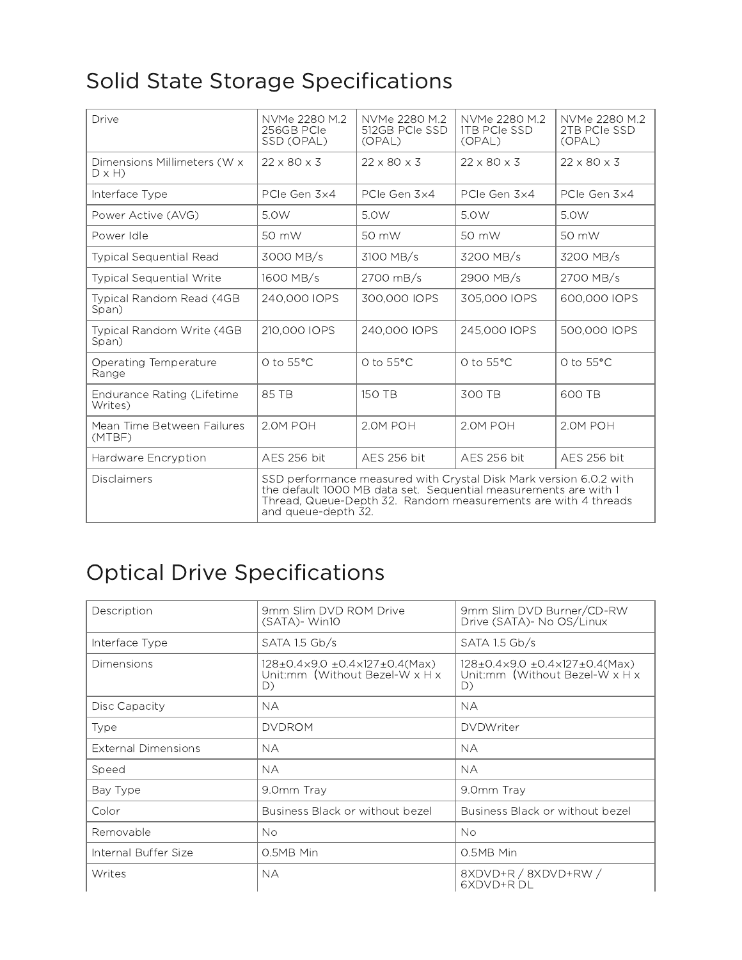# Solid State Storage Specifications

| Drive                                       | NVMe 2280 M.2<br>256GB PCIe<br>SSD (OPAL)                                                                                                                                                                                       | NVMe 2280 M.2<br>512GB PCIe SSD<br>(OPAL) | NVMe 2280 M.2<br><b>ITB PCIe SSD</b><br>(OPAL) | NVMe 2280 M.2<br>2TB PCIe SSD<br>(OPAL) |
|---------------------------------------------|---------------------------------------------------------------------------------------------------------------------------------------------------------------------------------------------------------------------------------|-------------------------------------------|------------------------------------------------|-----------------------------------------|
| Dimensions Millimeters (W x<br>$D \times H$ | $22 \times 80 \times 3$                                                                                                                                                                                                         | $22 \times 80 \times 3$                   | $22 \times 80 \times 3$                        | $22 \times 80 \times 3$                 |
| Interface Type                              | PCIe Gen 3x4                                                                                                                                                                                                                    | PCIe Gen 3x4                              | PCIe Gen 3x4                                   | PCIe Gen 3x4                            |
| Power Active (AVG)                          | 5.0W                                                                                                                                                                                                                            | 5.0W                                      | 5.0W                                           | 5.0W                                    |
| Power Idle                                  | 50 mW                                                                                                                                                                                                                           | 50 mW                                     | 50 mW                                          | 50 mW                                   |
| <b>Typical Sequential Read</b>              | 3000 MB/s                                                                                                                                                                                                                       | 3100 MB/s                                 | 3200 MB/s                                      | 3200 MB/s                               |
| <b>Typical Sequential Write</b>             | 1600 MB/s                                                                                                                                                                                                                       | 2700 mB/s                                 | 2900 MB/s                                      | 2700 MB/s                               |
| Typical Random Read (4GB<br>Span)           | 240,000 IOPS                                                                                                                                                                                                                    | 300,000 IOPS                              | 305,000 IOPS                                   | 600,000 IOPS                            |
| Typical Random Write (4GB<br>Span)          | 210,000 IOPS                                                                                                                                                                                                                    | 240,000 IOPS                              | 245,000 IOPS                                   | 500,000 IOPS                            |
| Operating Temperature<br>Range              | $O$ to $55^{\circ}$ C                                                                                                                                                                                                           | $O$ to $55^{\circ}$ C                     | $O$ to $55^{\circ}$ C                          | $O$ to $55^{\circ}$ C                   |
| Endurance Rating (Lifetime<br>Writes)       | 85 TB                                                                                                                                                                                                                           | 150 TB                                    | 300 TB                                         | 600 TB                                  |
| Mean Time Between Failures<br>(MTBF)        | 2.0M POH                                                                                                                                                                                                                        | 2.0M POH                                  | 2.0M POH                                       | 2.0M POH                                |
| Hardware Encryption                         | <b>AES 256 bit</b>                                                                                                                                                                                                              | <b>AES 256 bit</b>                        | <b>AES 256 bit</b>                             | <b>AES 256 bit</b>                      |
| Disclaimers                                 | SSD performance measured with Crystal Disk Mark version 6.0.2 with<br>the default 1000 MB data set. Sequential measurements are with 1<br>Thread, Queue-Depth 32. Random measurements are with 4 threads<br>and queue-depth 32. |                                           |                                                |                                         |

# Optical Drive Specifications

| Description                | 9mm Slim DVD ROM Drive<br>$(SATA)$ - Win10                                                            | 9mm Slim DVD Burner/CD-RW<br>Drive (SATA) - No OS/Linux                             |
|----------------------------|-------------------------------------------------------------------------------------------------------|-------------------------------------------------------------------------------------|
| Interface Type             | SATA 1.5 Gb/s                                                                                         | SATA 1.5 Gb/s                                                                       |
| Dimensions                 | $128\pm0.4\times9.0\pm0.4\times127\pm0.4$ (Max)<br>Unit:mm (Without Bezel-W $\times$ H $\times$<br>D) | 128±0.4x9.0 ±0.4x127±0.4(Max)<br>Unit:mm (Without Bezel-W $\times$ H $\times$<br>D) |
| Disc Capacity              | <b>NA</b>                                                                                             | <b>NA</b>                                                                           |
| Type                       | <b>DVDROM</b>                                                                                         | <b>DVDWriter</b>                                                                    |
| <b>External Dimensions</b> | <b>NA</b>                                                                                             | <b>NA</b>                                                                           |
| Speed                      | <b>NA</b>                                                                                             | <b>NA</b>                                                                           |
| Bay Type                   | 9.0mm Tray                                                                                            | 9.0mm Tray                                                                          |
| Color                      | Business Black or without bezel                                                                       | Business Black or without bezel                                                     |
| Removable                  | No.                                                                                                   | <b>No</b>                                                                           |
| Internal Buffer Size       | 0.5MB Min                                                                                             | 0.5MB Min                                                                           |
| Writes                     | <b>NA</b>                                                                                             | 8XDVD+R / 8XDVD+RW /<br>6XDVD+RDL                                                   |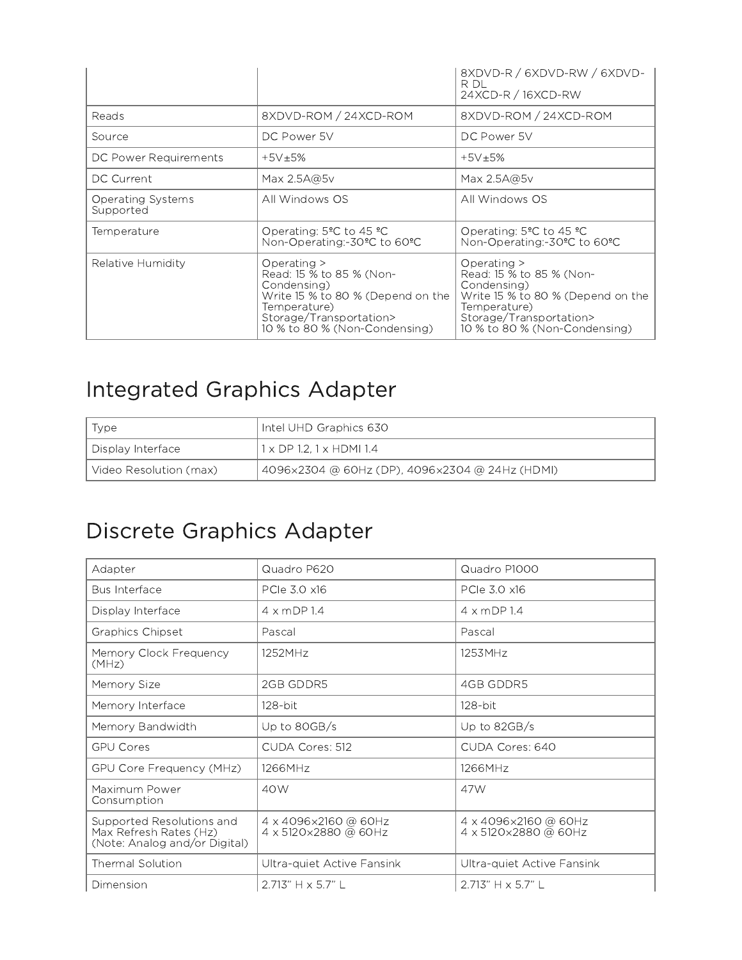|                                       |                                                                                                                                                                           | 8XDVD-R / 6XDVD-RW / 6XDVD-<br>R DL<br>24XCD-R / 16XCD-RW                                                                                                               |
|---------------------------------------|---------------------------------------------------------------------------------------------------------------------------------------------------------------------------|-------------------------------------------------------------------------------------------------------------------------------------------------------------------------|
| Reads                                 | 8XDVD-ROM / 24XCD-ROM                                                                                                                                                     | 8XDVD-ROM / 24XCD-ROM                                                                                                                                                   |
| Source                                | DC Power 5V                                                                                                                                                               | DC Power 5V                                                                                                                                                             |
| DC Power Requirements                 | $+5V+5%$                                                                                                                                                                  | $+5V+5%$                                                                                                                                                                |
| DC Current                            | Max $2.5A@5v$                                                                                                                                                             | Max 2.5A@5v                                                                                                                                                             |
| <b>Operating Systems</b><br>Supported | All Windows OS                                                                                                                                                            | All Windows OS                                                                                                                                                          |
| Temperature                           | Operating: $5^{\circ}$ C to 45 $^{\circ}$ C<br>Non-Operating:-30°C to 60°C                                                                                                | Operating: $5^{\circ}$ C to 45 $^{\circ}$ C<br>Non-Operating:-30°C to 60°C                                                                                              |
| Relative Humidity                     | Operating $>$<br>Read: 15 % to 85 % (Non-<br>Condensing)<br>Write 15 % to 80 % (Depend on the<br>Temperature)<br>Storage/Transportation><br>10 % to 80 % (Non-Condensing) | Operating ><br>Read: 15 % to 85 % (Non-<br>Condensing)<br>Write 15 % to 80 % (Depend on the<br>Temperature)<br>Storage/Transportation><br>10 % to 80 % (Non-Condensing) |

## Integrated Graphics Adapter

| Type                   | Intel UHD Graphics 630                         |
|------------------------|------------------------------------------------|
| Display Interface      | $1 \times$ DP 1.2, 1 $\times$ HDMI 1.4         |
| Video Resolution (max) | 4096x2304 @ 60Hz (DP), 4096x2304 @ 24Hz (HDMI) |

# Discrete Graphics Adapter

| Adapter                                                                              | Quadro P620                                  | Quadro P1000                                   |
|--------------------------------------------------------------------------------------|----------------------------------------------|------------------------------------------------|
| <b>Bus Interface</b>                                                                 | PCIe 3.0 x16                                 | PCIe 3.0 x16                                   |
| Display Interface                                                                    | $4 \times mDP$ 1.4                           | $4 \times mDP$ 1.4                             |
| Graphics Chipset                                                                     | Pascal                                       | Pascal                                         |
| Memory Clock Frequency<br>(MHz)                                                      | 1252MHz                                      | 1253MHz                                        |
| Memory Size                                                                          | 2GB GDDR5                                    | 4GB GDDR5                                      |
| Memory Interface                                                                     | 128-bit                                      | 128-bit                                        |
| Memory Bandwidth                                                                     | Up to 80GB/s                                 | Up to 82GB/s                                   |
| <b>GPU Cores</b>                                                                     | CUDA Cores: 512                              | CUDA Cores: 640                                |
| GPU Core Frequency (MHz)                                                             | 1266MHz                                      | 1266MHz                                        |
| Maximum Power<br>Consumption                                                         | 40W                                          | 47W                                            |
| Supported Resolutions and<br>Max Refresh Rates (Hz)<br>(Note: Analog and/or Digital) | 4 x 4096x2160 @ 60Hz<br>4 x 5120x2880 @ 60Hz | 4 x 4096x2160 @ 60Hz<br>4 x 5120 × 2880 @ 60Hz |
| Thermal Solution                                                                     | Ultra-quiet Active Fansink                   | Ultra-quiet Active Fansink                     |
| Dimension                                                                            | 2.713" H x 5.7" L                            | $2.713" H \times 5.7" L$                       |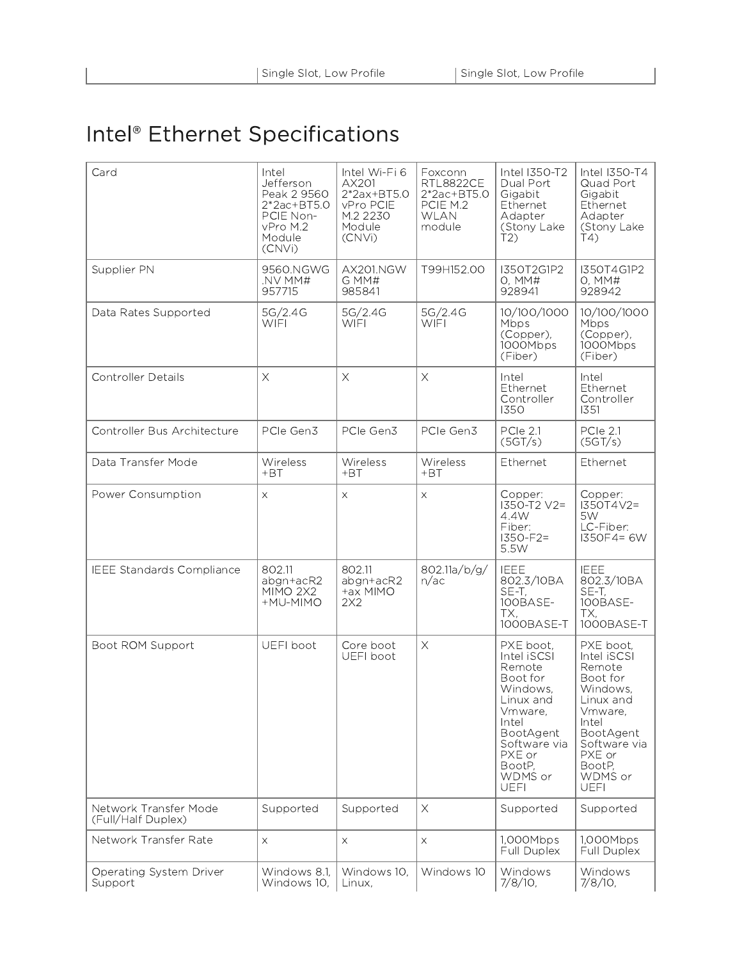# Intel® Ethernet Specifications

| Card                                        | Intel<br>Jefferson<br>Peak 2 9560<br>$2*2ac + BTS.0$<br>PCIE Non-<br>vPro M.2<br>Module<br>(CNVi) | Intel Wi-Fi 6<br>AX201<br>$2*2ax+BT5.0$<br>vPro PCIE<br>M.2 2230<br>Module<br>(CNVi) | Foxconn<br><b>RTL8822CE</b><br>2*2ac+BT5.0<br>PCIE M.2<br><b>WLAN</b><br>module | Intel I350-T2<br>Dual Port<br>Gigabit<br>Ethernet<br>Adapter<br>(Stony Lake<br>T2                                                                                      | Intel I350-T4<br>Quad Port<br>Gigabit<br>Ethernet<br>Adapter<br>(Stony Lake<br>T(4)                                                                                    |
|---------------------------------------------|---------------------------------------------------------------------------------------------------|--------------------------------------------------------------------------------------|---------------------------------------------------------------------------------|------------------------------------------------------------------------------------------------------------------------------------------------------------------------|------------------------------------------------------------------------------------------------------------------------------------------------------------------------|
| Supplier PN                                 | 9560.NGWG<br>NV MM#<br>957715                                                                     | AX201.NGW<br>G MM#<br>985841                                                         | T99H152.00                                                                      | I350T2G1P2<br>0, MM#<br>928941                                                                                                                                         | I350T4G1P2<br>0, MM#<br>928942                                                                                                                                         |
| Data Rates Supported                        | 5G/2.4G<br><b>WIFI</b>                                                                            | 5G/2.4G<br><b>WIFI</b>                                                               | 5G/2.4G<br><b>WIFI</b>                                                          | 10/100/1000<br>Mbps<br>(Copper),<br>1000Mbps<br>(Fiber)                                                                                                                | 10/100/1000<br>Mbps<br>(Copper),<br>1000Mbps<br>(Fiber)                                                                                                                |
| <b>Controller Details</b>                   | $\times$                                                                                          | $\times$                                                                             | $\times$                                                                        | Intel<br>Ethernet<br>Controller<br>1350                                                                                                                                | Intel<br>Ethernet<br>Controller<br>1351                                                                                                                                |
| Controller Bus Architecture                 | PCIe Gen3                                                                                         | PCIe Gen3                                                                            | PCIe Gen3                                                                       | PCle 2.1<br>(5GT/s)                                                                                                                                                    | PCle 2.1<br>(5GT/s)                                                                                                                                                    |
| Data Transfer Mode                          | Wireless<br>$+BT$                                                                                 | Wireless<br>$+BT$                                                                    | Wireless<br>$+BT$                                                               | Ethernet                                                                                                                                                               | Ethernet                                                                                                                                                               |
| Power Consumption                           | $\times$                                                                                          | X                                                                                    | $\times$                                                                        | Copper:<br>I350-T2 V2=<br>4.4W<br>Fiber:<br>$1350 - F2 =$<br>5.5W                                                                                                      | Copper:<br>$1350T4V2=$<br>5W<br>LC-Fiber:<br>$1350F4 = 6W$                                                                                                             |
| <b>IEEE Standards Compliance</b>            | 802.11<br>abgn+acR2<br><b>MIMO 2X2</b><br>+MU-MIMO                                                | 802.11<br>abgn+acR2<br>+ax MIMO<br>2X2                                               | 802.11a/b/g/<br>n/ac                                                            | <b>IEEE</b><br>802.3/10BA<br>SE-T,<br>100BASE-<br>TX,<br>1000BASE-T                                                                                                    | <b>IEEE</b><br>802.3/10BA<br>SE-T,<br>100BASE-<br>TX,<br>1000BASE-T                                                                                                    |
| Boot ROM Support                            | UEFI boot                                                                                         | Core boot<br>UEFI boot                                                               | $\times$                                                                        | PXE boot,<br>Intel iSCSI<br>Remote<br>Boot for<br>Windows,<br>Linux and<br>Vmware,<br>Intel<br>BootAgent<br>Software via<br>PXE or<br>BootP.<br>WDMS or<br><b>UEFI</b> | PXE boot,<br>Intel iSCSI<br>Remote<br>Boot for<br>Windows,<br>Linux and<br>Vmware,<br>Intel<br>BootAgent<br>Software via<br>PXE or<br>BootP,<br>WDMS or<br><b>UEFI</b> |
| Network Transfer Mode<br>(Full/Half Duplex) | Supported                                                                                         | Supported                                                                            | $\times$                                                                        | Supported                                                                                                                                                              | Supported                                                                                                                                                              |
| Network Transfer Rate                       | $\times$                                                                                          | X.                                                                                   | $\bar{\mathsf{X}}$                                                              | 1,000Mbps<br>Full Duplex                                                                                                                                               | 1,000Mbps<br>Full Duplex                                                                                                                                               |
| Operating System Driver<br>Support          | Windows 8.1,<br>Windows 10,                                                                       | Windows 10,<br>Linux,                                                                | Windows 10                                                                      | Windows<br>$7/8/10$ ,                                                                                                                                                  | Windows<br>7/8/10,                                                                                                                                                     |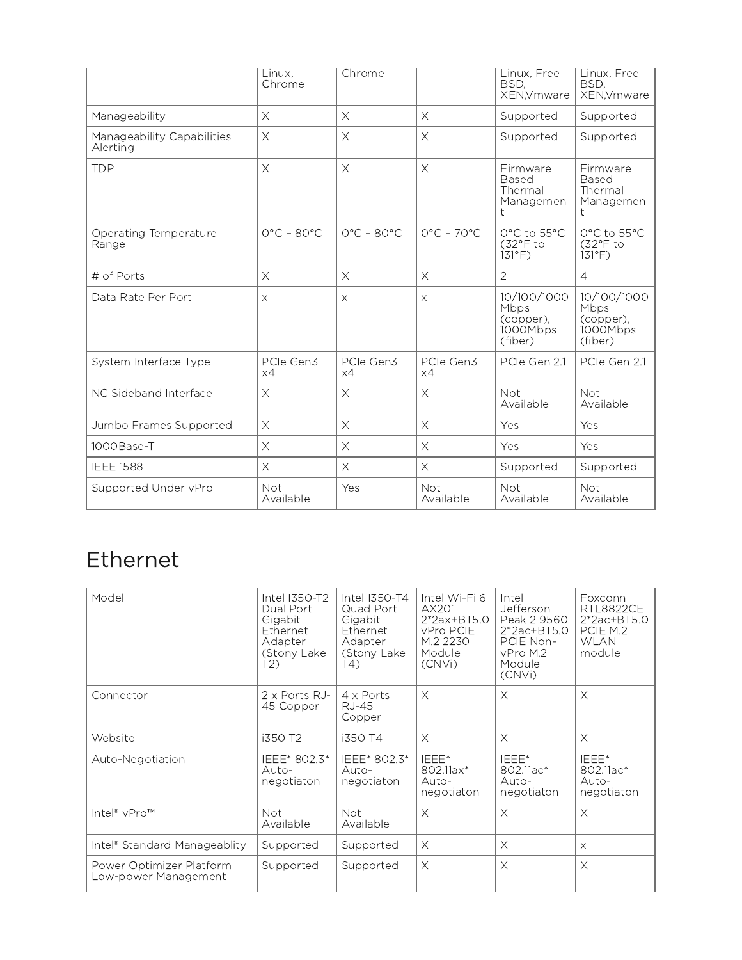|                                        | Linux.<br>Chrome           | Chrome                     |                            | Linux, Free<br>BSD.<br>XEN, Vmware                      | Linux, Free<br>BSD.<br>XEN, Vmware                             |
|----------------------------------------|----------------------------|----------------------------|----------------------------|---------------------------------------------------------|----------------------------------------------------------------|
| Manageability                          | $\times$                   | $\times$                   | $\times$                   | Supported                                               | Supported                                                      |
| Manageability Capabilities<br>Alerting | $\times$                   | $\times$                   | $\times$                   | Supported                                               | Supported                                                      |
| <b>TDP</b>                             | $\times$                   | $\times$                   | $\times$                   | Firmware<br>Based<br>Thermal<br>Managemen               | Firmware<br>Based<br>Thermal<br>Managemen                      |
| Operating Temperature<br>Range         | $O^{\circ}C - 8O^{\circ}C$ | $O^{\circ}C - 8O^{\circ}C$ | $O^{\circ}C - 7O^{\circ}C$ | 0°C to 55°C<br>(32°F to<br>$131^{\circ}$ F)             | $0^{\circ}$ C to 55 $^{\circ}$ C<br>(32°F to<br>$131^{\circ}F$ |
| # of Ports                             | $\times$                   | $\times$                   | $\times$                   | $\overline{2}$                                          | $\overline{4}$                                                 |
| Data Rate Per Port                     | $\times$                   | $\times$                   | $\times$                   | 10/100/1000<br>Mbps<br>(copper),<br>1000Mbps<br>(fiber) | 10/100/1000<br>Mbps<br>(copper),<br>1000Mbps<br>(fiber)        |
| System Interface Type                  | PCIe Gen3<br>$\times 4$    | PCIe Gen3<br>$\times 4$    | PCIe Gen3<br>$\times 4$    | PCIe Gen 2.1                                            | PCIe Gen 2.1                                                   |
| NC Sideband Interface                  | $\times$                   | $\times$                   | $\times$                   | Not.<br>Available                                       | Not<br>Available                                               |
| Jumbo Frames Supported                 | $\times$                   | $\times$                   | $\times$                   | Yes                                                     | Yes                                                            |
| 1000Base-T                             | $\times$                   | $\times$                   | $\times$                   | Yes                                                     | Yes                                                            |
| <b>IEEE 1588</b>                       | $\times$                   | $\times$                   | $\times$                   | Supported                                               | Supported                                                      |
| Supported Under vPro                   | Not<br>Available           | Yes                        | Not<br>Available           | Not<br>Available                                        | Not<br>Available                                               |

# Ethernet

| Model                                            | Intel I350-T2<br>Dual Port<br>Gigabit<br>Ethernet<br>Adapter<br>(Stony Lake<br>T2) | Intel I350-T4<br>Quad Port<br>Gigabit<br>Ethernet<br>Adapter<br>(Stony Lake<br>T4) | Intel Wi-Fi 6<br>AX201<br>$2*2ax + BTS.0$<br>vPro PCIE<br>M.2 2230<br>Module<br>(CNVi) | Intel<br>Jefferson<br>Peak 2 9560<br>$2*2ac+BT5.0$<br>PCIE Non-<br>vPro M.2<br>Module<br>(CNVi) | Foxconn<br><b>RTL8822CE</b><br>$2*2ac + BTS.0$<br>PCIE M.2<br><b>WLAN</b><br>module |
|--------------------------------------------------|------------------------------------------------------------------------------------|------------------------------------------------------------------------------------|----------------------------------------------------------------------------------------|-------------------------------------------------------------------------------------------------|-------------------------------------------------------------------------------------|
| Connector                                        | $2 \times$ Ports RJ-<br>45 Copper                                                  | $4 \times$ Ports<br>RJ-45<br>Copper                                                | $\times$                                                                               | $\times$                                                                                        | $\times$                                                                            |
| Website                                          | i350 T2                                                                            | i350 T4                                                                            | $\times$                                                                               | X                                                                                               | $\times$                                                                            |
| Auto-Negotiation                                 | IEEE* 802.3*<br>Auto-<br>negotiaton                                                | IEEE* 802.3*<br>Auto-<br>negotiaton                                                | IEEE*<br>802.11ax*<br>Auto-<br>negotiaton                                              | IEEE*<br>802.11ac*<br>Auto-<br>negotiaton                                                       | IEEE*<br>802.11ac*<br>Auto-<br>negotiaton                                           |
| Intel® vPro™                                     | Not.<br>Available                                                                  | <b>Not</b><br>Available                                                            | $\times$                                                                               | $\times$                                                                                        | $\times$                                                                            |
| Intel <sup>®</sup> Standard Manageablity         | Supported                                                                          | Supported                                                                          | $\times$                                                                               | X                                                                                               | $\times$                                                                            |
| Power Optimizer Platform<br>Low-power Management | Supported                                                                          | Supported                                                                          | $\times$                                                                               | $\times$                                                                                        | $\times$                                                                            |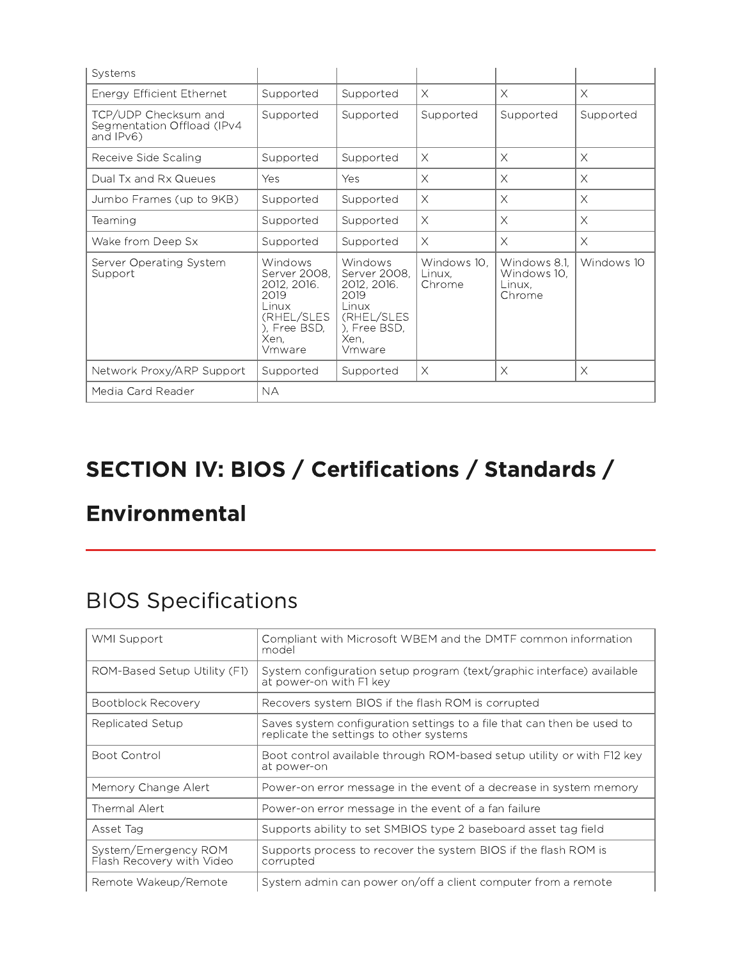| Systems                                                            |                                                                                                         |                                                                                                         |                                 |                                                 |            |
|--------------------------------------------------------------------|---------------------------------------------------------------------------------------------------------|---------------------------------------------------------------------------------------------------------|---------------------------------|-------------------------------------------------|------------|
| Energy Efficient Ethernet                                          | Supported                                                                                               | Supported                                                                                               | $\times$                        | $\times$                                        | $\times$   |
| TCP/UDP Checksum and<br>Segmentation Offload (IPv4<br>and $IPv6$ ) | Supported                                                                                               | Supported                                                                                               | Supported                       | Supported                                       | Supported  |
| Receive Side Scaling                                               | Supported                                                                                               | Supported                                                                                               | $\times$                        | $\times$                                        | $\times$   |
| Dual Tx and Rx Queues                                              | Yes                                                                                                     | Yes                                                                                                     | $\times$                        | $\times$                                        | $\times$   |
| Jumbo Frames (up to 9KB)                                           | Supported                                                                                               | Supported                                                                                               | $\times$                        | $\times$                                        | $\times$   |
| Teaming                                                            | Supported                                                                                               | Supported                                                                                               | $\times$                        | $\times$                                        | $\times$   |
| Wake from Deep Sx                                                  | Supported                                                                                               | Supported                                                                                               | $\times$                        | $\times$                                        | $\times$   |
| Server Operating System<br>Support                                 | Windows<br>Server 2008.<br>2012, 2016.<br>2019<br>Linux<br>(RHEL/SLES<br>), Free BSD,<br>Xen.<br>Vmware | Windows<br>Server 2008,<br>2012, 2016.<br>2019<br>Linux<br>(RHEL/SLES<br>), Free BSD,<br>Xen,<br>Vmware | Windows 10.<br>Linux.<br>Chrome | Windows 8.1.<br>Windows 10.<br>Linux.<br>Chrome | Windows 10 |
| Network Proxy/ARP Support                                          | Supported                                                                                               | Supported                                                                                               | $\times$                        | $\times$                                        | $\times$   |
| Media Card Reader                                                  | <b>NA</b>                                                                                               |                                                                                                         |                                 |                                                 |            |

# SECTION IV: BIOS / Certifications / Standards /

#### Environmental

## BIOS Specifications

| WMI Support                                       | Compliant with Microsoft WBEM and the DMTF common information<br>model                                            |
|---------------------------------------------------|-------------------------------------------------------------------------------------------------------------------|
| ROM-Based Setup Utility (F1)                      | System configuration setup program (text/graphic interface) available<br>at power-on with F1 key                  |
| Bootblock Recovery                                | Recovers system BIOS if the flash ROM is corrupted                                                                |
| Replicated Setup                                  | Saves system configuration settings to a file that can then be used to<br>replicate the settings to other systems |
| Boot Control                                      | Boot control available through ROM-based setup utility or with F12 key<br>at power-on                             |
| Memory Change Alert                               | Power-on error message in the event of a decrease in system memory                                                |
| Thermal Alert                                     | Power-on error message in the event of a fan failure                                                              |
| Asset Tag                                         | Supports ability to set SMBIOS type 2 baseboard asset tag field                                                   |
| System/Emergency ROM<br>Flash Recovery with Video | Supports process to recover the system BIOS if the flash ROM is<br>corrupted                                      |
| Remote Wakeup/Remote                              | System admin can power on/off a client computer from a remote                                                     |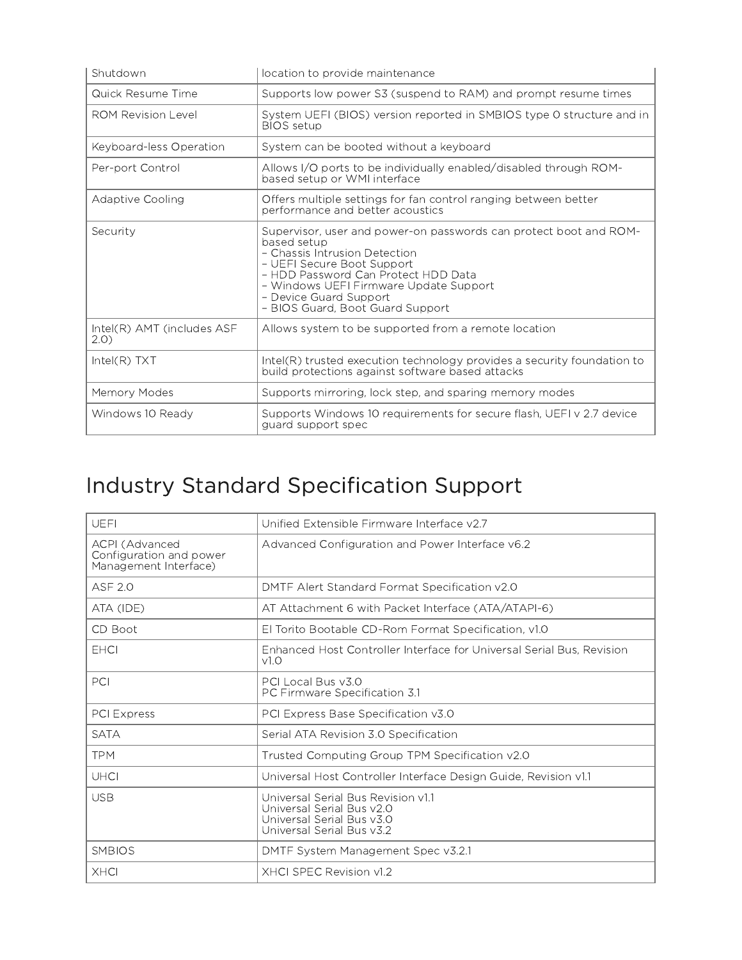| Shutdown                            | location to provide maintenance                                                                                                                                                                                                                                                                |
|-------------------------------------|------------------------------------------------------------------------------------------------------------------------------------------------------------------------------------------------------------------------------------------------------------------------------------------------|
| Quick Resume Time                   | Supports low power S3 (suspend to RAM) and prompt resume times                                                                                                                                                                                                                                 |
| <b>ROM Revision Level</b>           | System UEFI (BIOS) version reported in SMBIOS type 0 structure and in<br><b>BIOS</b> setup                                                                                                                                                                                                     |
| Keyboard-less Operation             | System can be booted without a keyboard                                                                                                                                                                                                                                                        |
| Per-port Control                    | Allows I/O ports to be individually enabled/disabled through ROM-<br>based setup or WMI interface                                                                                                                                                                                              |
| Adaptive Cooling                    | Offers multiple settings for fan control ranging between better<br>performance and better acoustics                                                                                                                                                                                            |
| Security                            | Supervisor, user and power-on passwords can protect boot and ROM-<br>based setup<br>- Chassis Intrusion Detection<br>- UEFI Secure Boot Support<br>- HDD Password Can Protect HDD Data<br>- Windows UEFI Firmware Update Support<br>- Device Guard Support<br>- BIOS Guard, Boot Guard Support |
| Intel(R) AMT (includes ASF<br>(2.0) | Allows system to be supported from a remote location                                                                                                                                                                                                                                           |
| $Intel(R)$ TXT                      | Intel(R) trusted execution technology provides a security foundation to<br>build protections against software based attacks                                                                                                                                                                    |
| Memory Modes                        | Supports mirroring, lock step, and sparing memory modes                                                                                                                                                                                                                                        |
| Windows 10 Ready                    | Supports Windows 10 requirements for secure flash, UEFI v 2.7 device<br>quard support spec                                                                                                                                                                                                     |

# Industry Standard Specification Support

| UEFI                                                               | Unified Extensible Firmware Interface v2.7                                                                                |
|--------------------------------------------------------------------|---------------------------------------------------------------------------------------------------------------------------|
| ACPI (Advanced<br>Configuration and power<br>Management Interface) | Advanced Configuration and Power Interface v6.2                                                                           |
| <b>ASF 2.0</b>                                                     | DMTF Alert Standard Format Specification v2.0                                                                             |
| ATA (IDE)                                                          | AT Attachment 6 with Packet Interface (ATA/ATAPI-6)                                                                       |
| CD Boot                                                            | El Torito Bootable CD-Rom Format Specification, v1.0                                                                      |
| <b>EHCI</b>                                                        | Enhanced Host Controller Interface for Universal Serial Bus, Revision<br>V1.0                                             |
| PCI                                                                | PCI Local Bus v3.0<br>PC Firmware Specification 3.1                                                                       |
| PCI Express                                                        | PCI Express Base Specification v3.0                                                                                       |
| <b>SATA</b>                                                        | Serial ATA Revision 3.0 Specification                                                                                     |
| <b>TPM</b>                                                         | Trusted Computing Group TPM Specification v2.0                                                                            |
| <b>UHCI</b>                                                        | Universal Host Controller Interface Design Guide, Revision v1.1                                                           |
| <b>USB</b>                                                         | Universal Serial Bus Revision v1.1<br>Universal Serial Bus v2.0<br>Universal Serial Bus v3.0<br>Universal Serial Bus v3.2 |
| <b>SMBIOS</b>                                                      | DMTF System Management Spec v3.2.1                                                                                        |
| <b>XHCI</b>                                                        | XHCLSPEC Revision v1.2                                                                                                    |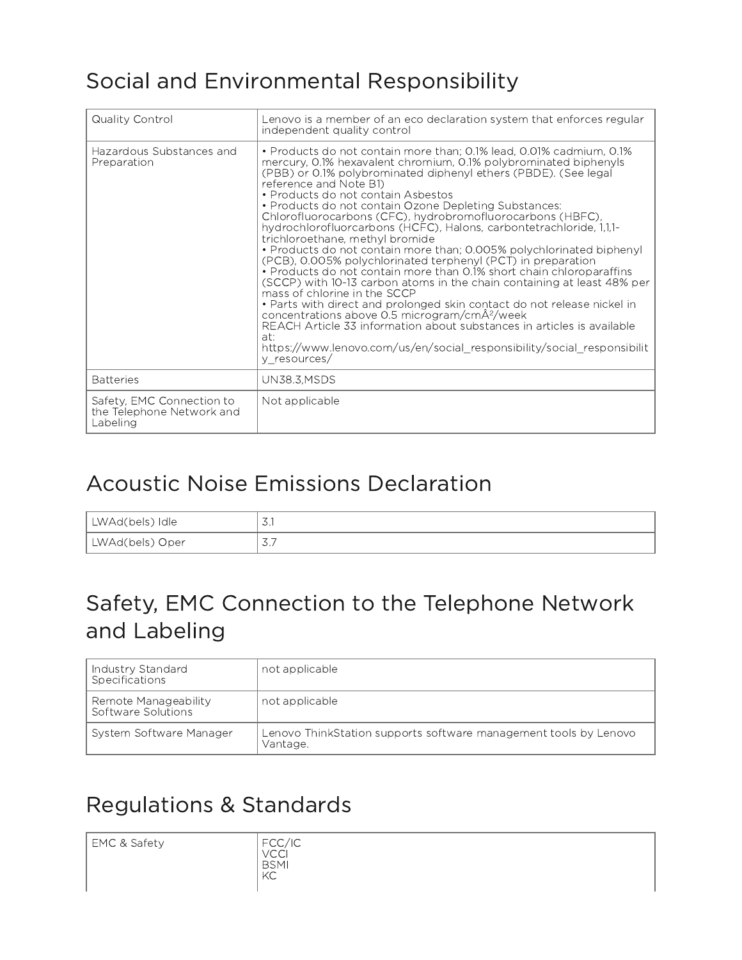# Social and Environmental Responsibility

| Quality Control                                                    | Lenovo is a member of an eco declaration system that enforces regular<br>independent quality control                                                                                                                                                                                                                                                                                                                                                                                                                                                                                                                                                                                                                                                                                                                                                                                                                                                                                                                                                                                                                                                       |
|--------------------------------------------------------------------|------------------------------------------------------------------------------------------------------------------------------------------------------------------------------------------------------------------------------------------------------------------------------------------------------------------------------------------------------------------------------------------------------------------------------------------------------------------------------------------------------------------------------------------------------------------------------------------------------------------------------------------------------------------------------------------------------------------------------------------------------------------------------------------------------------------------------------------------------------------------------------------------------------------------------------------------------------------------------------------------------------------------------------------------------------------------------------------------------------------------------------------------------------|
| Hazardous Substances and<br>Preparation                            | • Products do not contain more than; 0.1% lead, 0.01% cadmium, 0.1%<br>mercury, 0.1% hexavalent chromium, 0.1% polybrominated biphenyls<br>(PBB) or 0.1% polybrominated diphenyl ethers (PBDE). (See legal<br>reference and Note B1)<br>• Products do not contain Asbestos<br>• Products do not contain Ozone Depleting Substances:<br>Chlorofluorocarbons (CFC), hydrobromofluorocarbons (HBFC),<br>hydrochlorofluorcarbons (HCFC), Halons, carbontetrachloride, 1,1,1-<br>trichloroethane, methyl bromide<br>• Products do not contain more than; 0.005% polychlorinated biphenyl<br>(PCB), 0.005% polychlorinated terphenyl (PCT) in preparation<br>• Products do not contain more than 0.1% short chain chloroparaffins<br>(SCCP) with 10-13 carbon atoms in the chain containing at least 48% per<br>mass of chlorine in the SCCP<br>• Parts with direct and prolonged skin contact do not release nickel in<br>concentrations above 0.5 microgram/cmÂ <sup>2</sup> /week<br>REACH Article 33 information about substances in articles is available<br>at:<br>https://www.lenovo.com/us/en/social responsibility/social responsibilit<br>y_resources/ |
| <b>Batteries</b>                                                   | <b>UN38.3, MSDS</b>                                                                                                                                                                                                                                                                                                                                                                                                                                                                                                                                                                                                                                                                                                                                                                                                                                                                                                                                                                                                                                                                                                                                        |
| Safety, EMC Connection to<br>the Telephone Network and<br>Labeling | Not applicable                                                                                                                                                                                                                                                                                                                                                                                                                                                                                                                                                                                                                                                                                                                                                                                                                                                                                                                                                                                                                                                                                                                                             |

#### Acoustic Noise Emissions Declaration

| LWAd(bels) Idle | $\cup$ . I                             |
|-----------------|----------------------------------------|
| LWAd(bels) Oper | $\overline{\phantom{a}}$<br>$\cup$ . / |

#### Safety, EMC Connection to the Telephone Network and Labeling

| Industry Standard<br>Specifications         | not applicable                                                               |
|---------------------------------------------|------------------------------------------------------------------------------|
| Remote Manageability <br>Software Solutions | not applicable                                                               |
| System Software Manager                     | Lenovo ThinkStation supports software management tools by Lenovo<br>Vantage. |

## Regulations & Standards

EMC & Safety